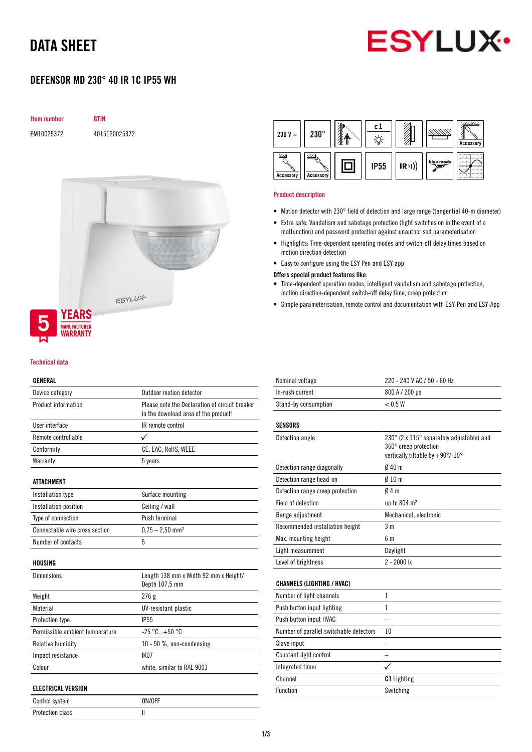## DATA SHEET



### DEFENSOR MD 230° 40 IR 1C IP55 WH





#### GENERAL

| Device category                 | Outdoor motion detector                                                                |  |
|---------------------------------|----------------------------------------------------------------------------------------|--|
| Product information             | Please note the Declaration of circuit breaker<br>in the download area of the product! |  |
| User interface                  | IR remote control                                                                      |  |
| Remote controllable             | ✓                                                                                      |  |
| Conformity                      | CE, EAC, RoHS, WEEE                                                                    |  |
| Warranty                        | 5 years                                                                                |  |
| ATTACHMENT                      |                                                                                        |  |
| Installation type               | Surface mounting                                                                       |  |
| Installation position           | Ceiling / wall                                                                         |  |
| Type of connection              | Push terminal                                                                          |  |
| Connectable wire cross section  | $0,75 - 2,50$ mm <sup>2</sup>                                                          |  |
| Number of contacts              | 5                                                                                      |  |
| HOUSING                         |                                                                                        |  |
| <b>Dimensions</b>               | Length 138 mm x Width 92 mm x Height/<br>Depth 107,5 mm                                |  |
| Weight                          | 276g                                                                                   |  |
| Material                        | UV-resistant plastic                                                                   |  |
| Protection type                 | <b>IP55</b>                                                                            |  |
| Permissible ambient temperature | $-25 °C+50 °C$                                                                         |  |
| Relative humidity               | 10 - 90 %, non-condensing                                                              |  |
| Impact resistance               | <b>IK07</b>                                                                            |  |
| Colour                          | white, similar to RAL 9003                                                             |  |
| <b>ELECTRICAL VERSION</b>       |                                                                                        |  |
| Control system                  | ON/OFF                                                                                 |  |

Protection class and II

| 230 V $\sim$                      | $230^\circ$              | c.          |      |           | / <i>//////</i><br><b>Accessory</b> |
|-----------------------------------|--------------------------|-------------|------|-----------|-------------------------------------|
| $\mathcal{Z}$<br><b>Accessory</b> | '//X<br><b>Accessory</b> | <b>IP55</b> | (R)) | blue mode |                                     |

#### Product description

- Motion detector with 230° field of detection and large range (tangential 40-m diameter)
- Extra safe: Vandalism and sabotage protection (light switches on in the event of a malfunction) and password protection against unauthorised parameterisation
- Highlights: Time-dependent operating modes and switch-off delay times based on motion direction detection
- Easy to configure using the ESY Pen and ESY app

#### Offers special product features like:

- Time-dependent operation modes, intelligent vandalism and sabotage protection, motion direction-dependent switch-off delay time, creep protection
- Simple parameterisation, remote control and documentation with ESY-Pen and ESY-App

| Nominal voltage                         | 220 - 240 V AC / 50 - 60 Hz                                                                            |
|-----------------------------------------|--------------------------------------------------------------------------------------------------------|
| In-rush current                         | 800 A / 200 µs                                                                                         |
| Stand-by consumption                    | < 0.5 W                                                                                                |
| <b>SENSORS</b>                          |                                                                                                        |
| Detection angle                         | 230° (2 x 115° separately adjustable) and<br>360° creep protection<br>vertically tiltable by +90°/-10° |
| Detection range diagonally              | Ø 40 m                                                                                                 |
| Detection range head-on                 | $0/10$ m                                                                                               |
| Detection range creep protection        | 04m                                                                                                    |
| <b>Field of detection</b>               | up to 804 m <sup>2</sup>                                                                               |
| Range adjustment                        | Mechanical, electronic                                                                                 |
| Recommended installation height         | 3 m                                                                                                    |
| Max. mounting height                    | 6 m                                                                                                    |
| Light measurement                       | Daylight                                                                                               |
| Level of brightness                     | $2 - 2000$ lx                                                                                          |
| <b>CHANNELS (LIGHTING / HVAC)</b>       |                                                                                                        |
| Number of light channels                | 1                                                                                                      |
| Push button input lighting              | 1                                                                                                      |
| Push button input HVAC                  |                                                                                                        |
| Number of parallel switchable detectors | 10                                                                                                     |
| Slave input                             |                                                                                                        |
| Constant light control                  |                                                                                                        |
| Integrated timer                        |                                                                                                        |
| Channel                                 | <b>C1</b> Lighting                                                                                     |
| <b>Function</b>                         | Switching                                                                                              |
|                                         |                                                                                                        |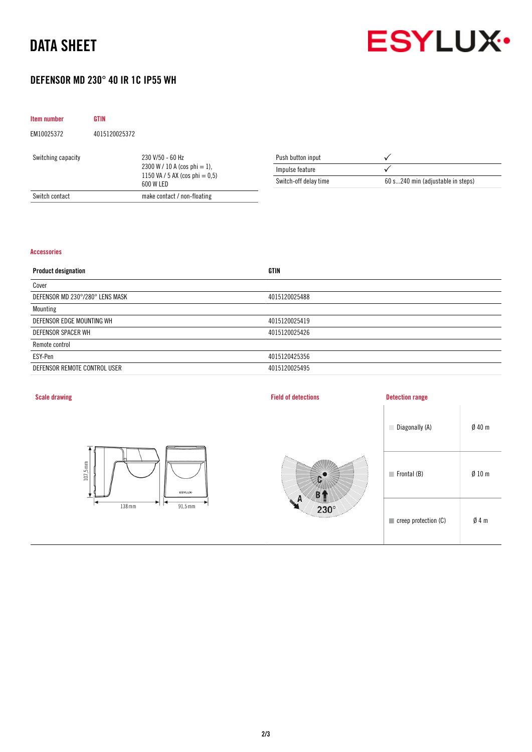# DATA SHEET



### DEFENSOR MD 230° 40 IR 1C IP55 WH

| Item number        | <b>GTIN</b>   |                                                                                                       |                       |                                   |
|--------------------|---------------|-------------------------------------------------------------------------------------------------------|-----------------------|-----------------------------------|
| EM10025372         | 4015120025372 |                                                                                                       |                       |                                   |
| Switching capacity |               | 230 V/50 - 60 Hz<br>$2300 W / 10 A (cos phi = 1)$ ,<br>1150 VA / 5 AX (cos phi $= 0.5$ )<br>600 W LED | Push button input     |                                   |
|                    |               |                                                                                                       | Impulse feature       |                                   |
|                    |               |                                                                                                       | Switch-off delay time | 60 s240 min (adjustable in steps) |
| Switch contact     |               | make contact / non-floating                                                                           |                       |                                   |

### Accessories

| <b>GTIN</b>   |
|---------------|
|               |
| 4015120025488 |
|               |
| 4015120025419 |
| 4015120025426 |
|               |
| 4015120425356 |
| 4015120025495 |
|               |